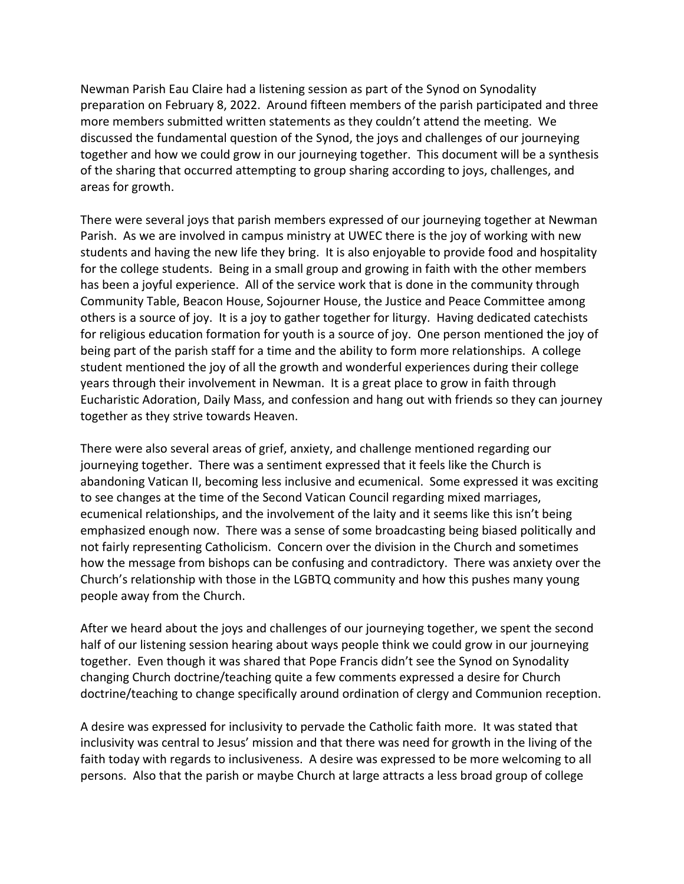Newman Parish Eau Claire had a listening session as part of the Synod on Synodality preparation on February 8, 2022. Around fifteen members of the parish participated and three more members submitted written statements as they couldn't attend the meeting. We discussed the fundamental question of the Synod, the joys and challenges of our journeying together and how we could grow in our journeying together. This document will be a synthesis of the sharing that occurred attempting to group sharing according to joys, challenges, and areas for growth.

There were several joys that parish members expressed of our journeying together at Newman Parish. As we are involved in campus ministry at UWEC there is the joy of working with new students and having the new life they bring. It is also enjoyable to provide food and hospitality for the college students. Being in a small group and growing in faith with the other members has been a joyful experience. All of the service work that is done in the community through Community Table, Beacon House, Sojourner House, the Justice and Peace Committee among others is a source of joy. It is a joy to gather together for liturgy. Having dedicated catechists for religious education formation for youth is a source of joy. One person mentioned the joy of being part of the parish staff for a time and the ability to form more relationships. A college student mentioned the joy of all the growth and wonderful experiences during their college years through their involvement in Newman. It is a great place to grow in faith through Eucharistic Adoration, Daily Mass, and confession and hang out with friends so they can journey together as they strive towards Heaven.

There were also several areas of grief, anxiety, and challenge mentioned regarding our journeying together. There was a sentiment expressed that it feels like the Church is abandoning Vatican II, becoming less inclusive and ecumenical. Some expressed it was exciting to see changes at the time of the Second Vatican Council regarding mixed marriages, ecumenical relationships, and the involvement of the laity and it seems like this isn't being emphasized enough now. There was a sense of some broadcasting being biased politically and not fairly representing Catholicism. Concern over the division in the Church and sometimes how the message from bishops can be confusing and contradictory. There was anxiety over the Church's relationship with those in the LGBTQ community and how this pushes many young people away from the Church.

After we heard about the joys and challenges of our journeying together, we spent the second half of our listening session hearing about ways people think we could grow in our journeying together. Even though it was shared that Pope Francis didn't see the Synod on Synodality changing Church doctrine/teaching quite a few comments expressed a desire for Church doctrine/teaching to change specifically around ordination of clergy and Communion reception.

A desire was expressed for inclusivity to pervade the Catholic faith more. It was stated that inclusivity was central to Jesus' mission and that there was need for growth in the living of the faith today with regards to inclusiveness. A desire was expressed to be more welcoming to all persons. Also that the parish or maybe Church at large attracts a less broad group of college